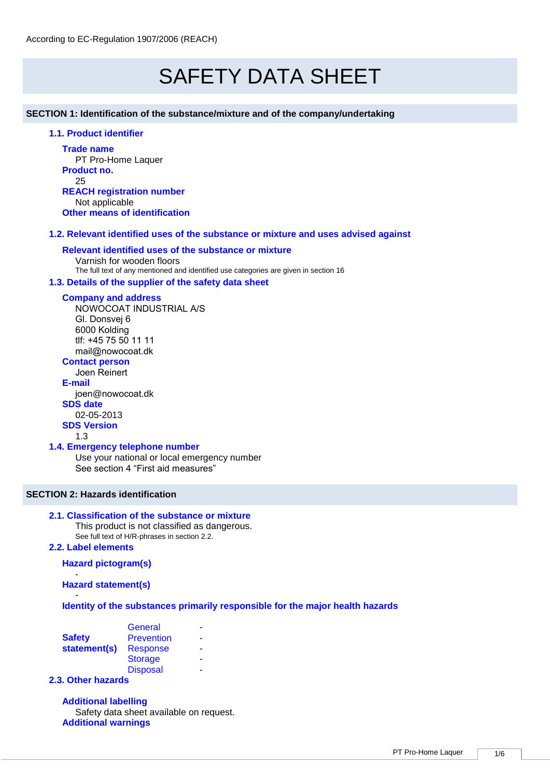# SAFETY DATA SHEET

## **SECTION 1: Identification of the substance/mixture and of the company/undertaking**

# **1.1. Product identifier**

**Trade name** PT Pro-Home Laquer **Product no.** 25 **REACH registration number** Not applicable **Other means of identification**

# **1.2. Relevant identified uses of the substance or mixture and uses advised against**

## **Relevant identified uses of the substance or mixture**

Varnish for wooden floors The full text of any mentioned and identified use categories are given in section 16

# **1.3. Details of the supplier of the safety data sheet**

#### **Company and address**

NOWOCOAT INDUSTRIAL A/S Gl. Donsvej 6 6000 Kolding tlf: +45 75 50 11 11 mail@nowocoat.dk

# **Contact person**

Joen Reinert

**E-mail** joen@nowocoat.dk **SDS date**  02-05-2013 **SDS Version**

# 1.3

#### **1.4. Emergency telephone number**

Use your national or local emergency number See section 4 "First aid measures"

# **SECTION 2: Hazards identification**

# **2.1. Classification of the substance or mixture**

This product is not classified as dangerous. See full text of H/R-phrases in section 2.2.

#### **2.2. Label elements**

# **Hazard pictogram(s)**

- **Hazard statement(s)**

#### - **Identity of the substances primarily responsible for the major health hazards**

|               | General           |   |
|---------------|-------------------|---|
| <b>Safety</b> | <b>Prevention</b> | - |
| statement(s)  | <b>Response</b>   | - |
|               | <b>Storage</b>    |   |
|               | <b>Disposal</b>   |   |

# **2.3. Other hazards**

**Additional labelling** Safety data sheet available on request. **Additional warnings**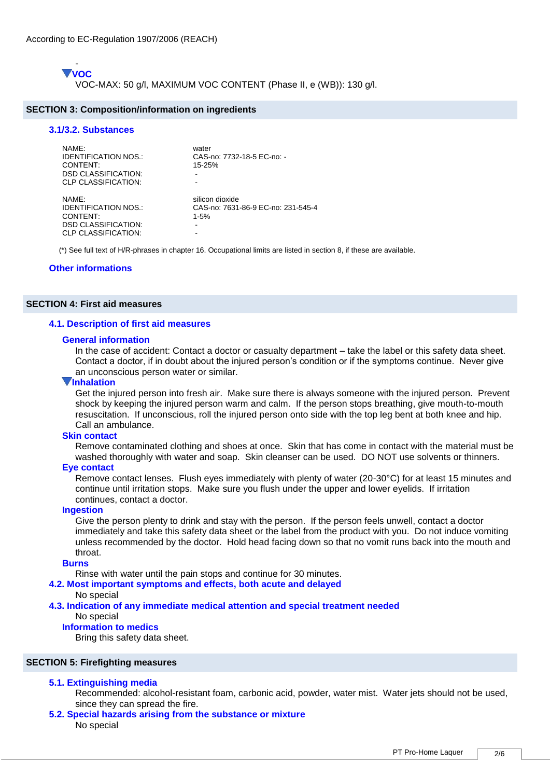- **VOC** VOC-MAX: 50 g/l, MAXIMUM VOC CONTENT (Phase II, e (WB)): 130 g/l.

#### **SECTION 3: Composition/information on ingredients**

# **3.1/3.2. Substances**

| NAME:<br>IDENTIFICATION NOS.:<br>CONTENT:<br><b>DSD CLASSIFICATION:</b><br><b>CLP CLASSIFICATION:</b> | water<br>CAS-no: 7732-18-5 EC-no: -<br>$15 - 25%$               |
|-------------------------------------------------------------------------------------------------------|-----------------------------------------------------------------|
| NAMF:<br><b>IDENTIFICATION NOS.:</b><br>CONTENT:<br><b>DSD CLASSIFICATION:</b><br>CLP CLASSIFICATION: | silicon dioxide<br>CAS-no: 7631-86-9 EC-no: 231-545-4<br>$1-5%$ |

(\*) See full text of H/R-phrases in chapter 16. Occupational limits are listed in section 8, if these are available.

## **Other informations**

## **SECTION 4: First aid measures**

#### **4.1. Description of first aid measures**

#### **General information**

In the case of accident: Contact a doctor or casualty department – take the label or this safety data sheet. Contact a doctor, if in doubt about the injured person's condition or if the symptoms continue. Never give an unconscious person water or similar.

# **Inhalation**

Get the injured person into fresh air. Make sure there is always someone with the injured person. Prevent shock by keeping the injured person warm and calm. If the person stops breathing, give mouth-to-mouth resuscitation. If unconscious, roll the injured person onto side with the top leg bent at both knee and hip. Call an ambulance.

#### **Skin contact**

Remove contaminated clothing and shoes at once. Skin that has come in contact with the material must be washed thoroughly with water and soap. Skin cleanser can be used. DO NOT use solvents or thinners.

#### **Eye contact**

Remove contact lenses. Flush eyes immediately with plenty of water (20-30°C) for at least 15 minutes and continue until irritation stops. Make sure you flush under the upper and lower eyelids. If irritation continues, contact a doctor.

#### **Ingestion**

Give the person plenty to drink and stay with the person. If the person feels unwell, contact a doctor immediately and take this safety data sheet or the label from the product with you. Do not induce vomiting unless recommended by the doctor. Hold head facing down so that no vomit runs back into the mouth and throat.

#### **Burns**

Rinse with water until the pain stops and continue for 30 minutes.

#### **4.2. Most important symptoms and effects, both acute and delayed**

#### No special

**4.3. Indication of any immediate medical attention and special treatment needed**  No special

#### **Information to medics**

Bring this safety data sheet.

# **SECTION 5: Firefighting measures**

## **5.1. Extinguishing media**

- Recommended: alcohol-resistant foam, carbonic acid, powder, water mist. Water jets should not be used, since they can spread the fire.
- **5.2. Special hazards arising from the substance or mixture**  No special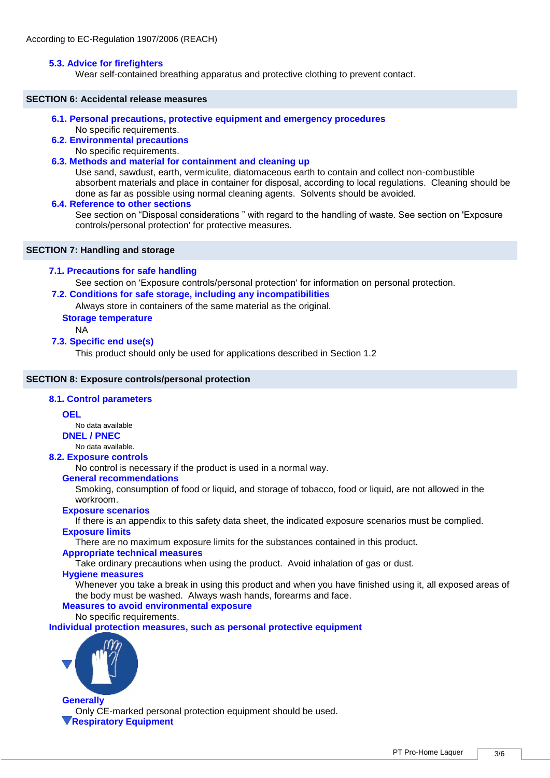# **5.3. Advice for firefighters**

Wear self-contained breathing apparatus and protective clothing to prevent contact.

## **SECTION 6: Accidental release measures**

- **6.1. Personal precautions, protective equipment and emergency procedures** 
	- No specific requirements.
- **6.2. Environmental precautions** 
	- No specific requirements.

# **6.3. Methods and material for containment and cleaning up**

Use sand, sawdust, earth, vermiculite, diatomaceous earth to contain and collect non-combustible absorbent materials and place in container for disposal, according to local regulations. Cleaning should be done as far as possible using normal cleaning agents. Solvents should be avoided.

#### **6.4. Reference to other sections**

See section on "Disposal considerations " with regard to the handling of waste. See section on 'Exposure controls/personal protection' for protective measures.

# **SECTION 7: Handling and storage**

# **7.1. Precautions for safe handling**

See section on 'Exposure controls/personal protection' for information on personal protection.

# **7.2. Conditions for safe storage, including any incompatibilities**

Always store in containers of the same material as the original.

# **Storage temperature**

NA

# **7.3. Specific end use(s)**

This product should only be used for applications described in Section 1.2

# **SECTION 8: Exposure controls/personal protection**

# **8.1. Control parameters**

# **OEL**

No data available

**DNEL / PNEC**

No data available.

# **8.2. Exposure controls**

No control is necessary if the product is used in a normal way.

# **General recommendations**

Smoking, consumption of food or liquid, and storage of tobacco, food or liquid, are not allowed in the workroom.

# **Exposure scenarios**

If there is an appendix to this safety data sheet, the indicated exposure scenarios must be complied. **Exposure limits**

There are no maximum exposure limits for the substances contained in this product.

# **Appropriate technical measures**

Take ordinary precautions when using the product. Avoid inhalation of gas or dust.

# **Hygiene measures**

Whenever you take a break in using this product and when you have finished using it, all exposed areas of the body must be washed. Always wash hands, forearms and face.

# **Measures to avoid environmental exposure**

No specific requirements.

**Individual protection measures, such as personal protective equipment**



**Generally** Only CE-marked personal protection equipment should be used. **Respiratory Equipment**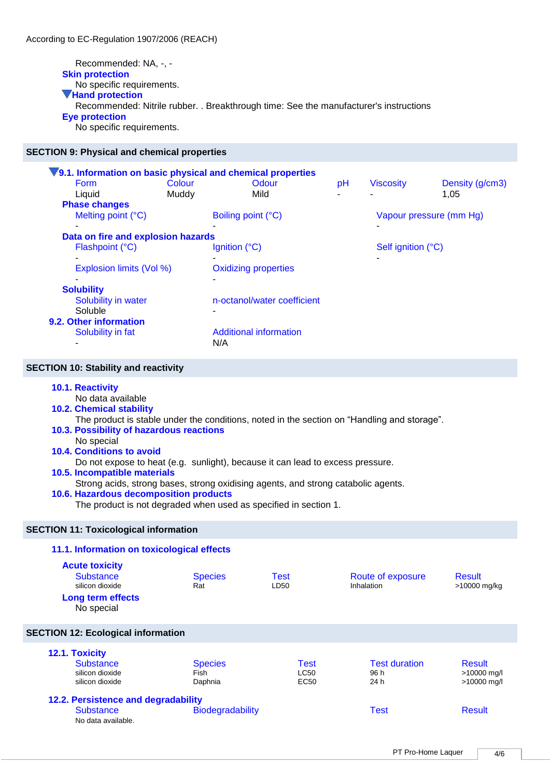Recommended: NA, -, - **Skin protection** No specific requirements. **Hand protection** Recommended: Nitrile rubber. . Breakthrough time: See the manufacturer's instructions **Eye protection** No specific requirements.

## **SECTION 9: Physical and chemical properties**

|                                    |                                              | V9.1. Information on basic physical and chemical properties |                         |                  |                 |
|------------------------------------|----------------------------------------------|-------------------------------------------------------------|-------------------------|------------------|-----------------|
| <b>Form</b>                        | Colour                                       | Odour                                                       | pH                      | <b>Viscosity</b> | Density (g/cm3) |
| Liquid                             | Muddy                                        | Mild                                                        |                         |                  | 1,05            |
| <b>Phase changes</b>               |                                              |                                                             |                         |                  |                 |
| Melting point (°C)                 |                                              | Boiling point (°C)                                          | Vapour pressure (mm Hg) |                  |                 |
|                                    |                                              |                                                             |                         |                  |                 |
| Data on fire and explosion hazards |                                              |                                                             |                         |                  |                 |
| Flashpoint (°C)                    | Ignition $(^{\circ}C)$<br>Self ignition (°C) |                                                             |                         |                  |                 |
|                                    |                                              |                                                             |                         |                  |                 |
| Explosion limits (Vol %)           |                                              | <b>Oxidizing properties</b>                                 |                         |                  |                 |
|                                    |                                              | -                                                           |                         |                  |                 |
| <b>Solubility</b>                  |                                              |                                                             |                         |                  |                 |
| Solubility in water                |                                              | n-octanol/water coefficient                                 |                         |                  |                 |
| Soluble                            |                                              |                                                             |                         |                  |                 |
| 9.2. Other information             |                                              |                                                             |                         |                  |                 |
| Solubility in fat                  |                                              | Additional information                                      |                         |                  |                 |
|                                    |                                              | N/A                                                         |                         |                  |                 |

#### **SECTION 10: Stability and reactivity**

#### **10.1. Reactivity**

No data available

**10.2. Chemical stability** 

The product is stable under the conditions, noted in the section on "Handling and storage".

# **10.3. Possibility of hazardous reactions**

No special

# **10.4. Conditions to avoid**

Do not expose to heat (e.g. sunlight), because it can lead to excess pressure.

# **10.5. Incompatible materials**

Strong acids, strong bases, strong oxidising agents, and strong catabolic agents.

## **10.6. Hazardous decomposition products**

The product is not degraded when used as specified in section 1.

#### **SECTION 11: Toxicological information**

# **11.1. Information on toxicological effects Acute toxicity** Substance Species Test Route of exposure Result<br>
silicon dioxide Rat LD50 Rat LD50 hhalation<br>
S10000 silicon dioxide **Rat** Rat LD50 Inhalation >10000 mg/kg **Long term effects** No special **SECTION 12: Ecological information 12.1. Toxicity**

| <b>IL.I. IVAIVILY</b>               |                         |                  |                      |               |
|-------------------------------------|-------------------------|------------------|----------------------|---------------|
| Substance                           | <b>Species</b>          | Test             | <b>Test duration</b> | Result        |
| silicon dioxide                     | Fish                    | <b>LC50</b>      | 96 h                 | >10000 mg/l   |
| silicon dioxide                     | Daphnia                 | EC <sub>50</sub> | 24 h                 | >10000 mg/l   |
| 12.2. Persistence and degradability |                         |                  |                      |               |
| <b>Substance</b>                    | <b>Biodegradability</b> |                  | Test                 | <b>Result</b> |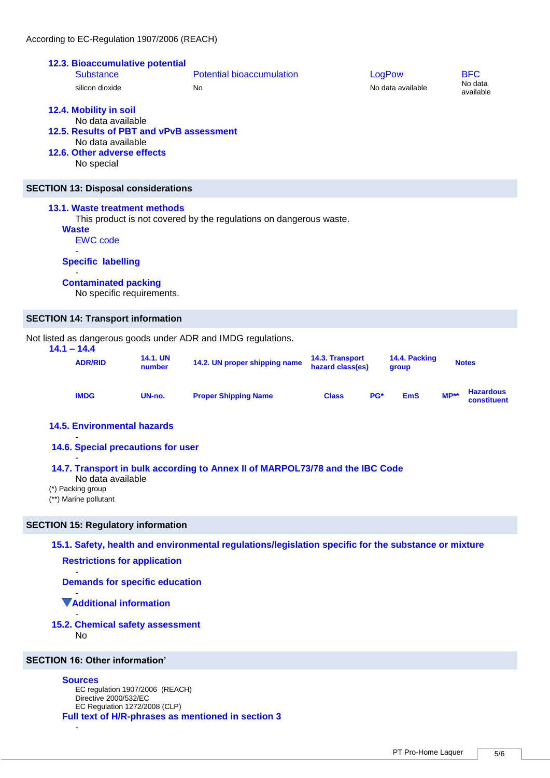|               | According to EC-Regulation 1907/2006 (REACH)                                                                                                                     |                           |                                                                    |                                     |        |                        |        |                                    |
|---------------|------------------------------------------------------------------------------------------------------------------------------------------------------------------|---------------------------|--------------------------------------------------------------------|-------------------------------------|--------|------------------------|--------|------------------------------------|
|               | 12.3. Bioaccumulative potential<br><b>Substance</b><br>silicon dioxide                                                                                           |                           | <b>Potential bioaccumulation</b><br>No                             |                                     | LogPow | No data available      |        | <b>BFC</b><br>No data<br>available |
|               | 12.4. Mobility in soil<br>No data available<br>12.5. Results of PBT and vPvB assessment<br>No data available<br>12.6. Other adverse effects<br>No special        |                           |                                                                    |                                     |        |                        |        |                                    |
|               | <b>SECTION 13: Disposal considerations</b>                                                                                                                       |                           |                                                                    |                                     |        |                        |        |                                    |
|               | <b>13.1. Waste treatment methods</b><br><b>Waste</b><br><b>EWC</b> code<br><b>Specific labelling</b><br><b>Contaminated packing</b><br>No specific requirements. |                           | This product is not covered by the regulations on dangerous waste. |                                     |        |                        |        |                                    |
|               | <b>SECTION 14: Transport information</b>                                                                                                                         |                           |                                                                    |                                     |        |                        |        |                                    |
| $14.1 - 14.4$ |                                                                                                                                                                  |                           | Not listed as dangerous goods under ADR and IMDG regulations.      |                                     |        |                        |        |                                    |
|               | <b>ADR/RID</b>                                                                                                                                                   | <b>14.1. UN</b><br>number | 14.2. UN proper shipping name                                      | 14.3. Transport<br>hazard class(es) |        | 14.4. Packing<br>group |        | <b>Notes</b>                       |
|               | <b>IMDG</b>                                                                                                                                                      | UN-no.                    | <b>Proper Shipping Name</b>                                        | <b>Class</b>                        | PG*    | <b>EmS</b>             | $MP**$ | <b>Hazardous</b><br>constituent    |
|               | <b>14.5. Environmental hazards</b>                                                                                                                               |                           |                                                                    |                                     |        |                        |        |                                    |

**14.6. Special precautions for user** 

- **14.7. Transport in bulk according to Annex II of MARPOL73/78 and the IBC Code** 

No data available

(\*) Packing group

-

(\*\*) Marine pollutant

# **SECTION 15: Regulatory information**

**15.1. Safety, health and environmental regulations/legislation specific for the substance or mixture** 

**Restrictions for application**

**Demands for specific education**

- **Additional information**

#### - **15.2. Chemical safety assessment**  No

**SECTION 16: Other information'**

# **Sources**

-

EC regulation 1907/2006 (REACH) Directive 2000/532/EC EC Regulation 1272/2008 (CLP) **Full text of H/R-phrases as mentioned in section 3**